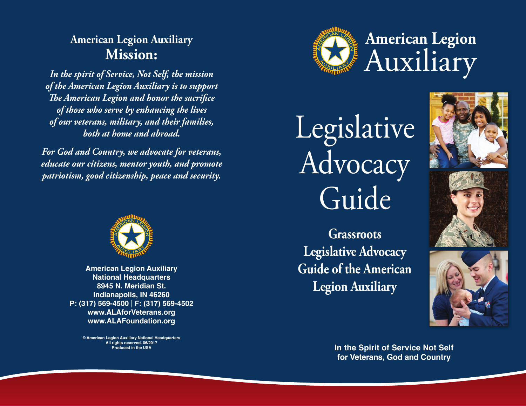

# Legislative Advocacy Guide

**Grassroots Legislative Advocacy Guide of the American Legion Auxiliary**







**In the Spirit of Service Not Self for Veterans, God and Country**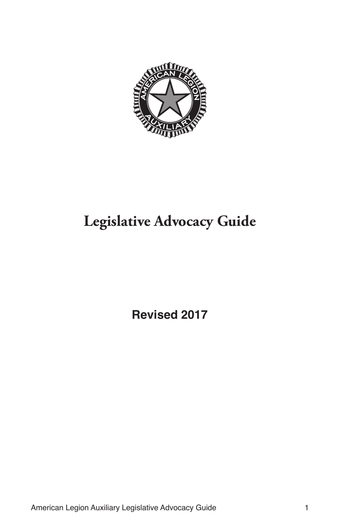

# **Legislative Advocacy Guide**

**Revised 2017**

American Legion Auxiliary Legislative Advocacy Guide 1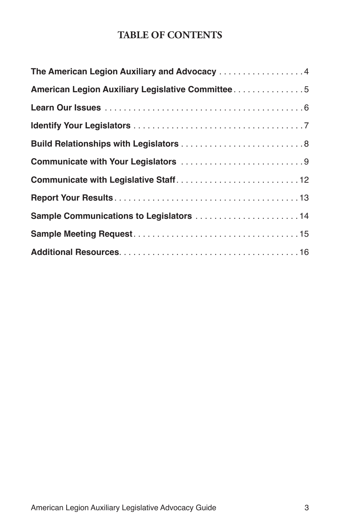## **TABLE OF CONTENTS**

| The American Legion Auxiliary and Advocacy 4     |
|--------------------------------------------------|
| American Legion Auxiliary Legislative Committee5 |
|                                                  |
|                                                  |
|                                                  |
|                                                  |
|                                                  |
|                                                  |
| Sample Communications to Legislators  14         |
|                                                  |
|                                                  |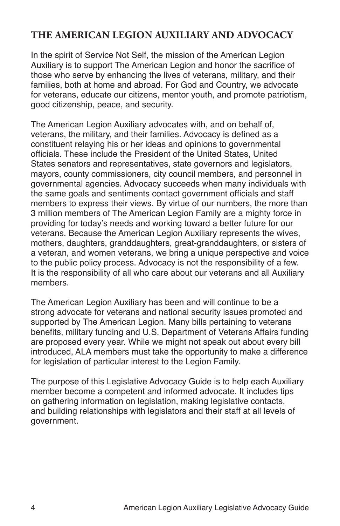## **THE AMERICAN LEGION AUXILIARY AND ADVOCACY**

In the spirit of Service Not Self, the mission of the American Legion Auxiliary is to support The American Legion and honor the sacrifice of those who serve by enhancing the lives of veterans, military, and their families, both at home and abroad. For God and Country, we advocate for veterans, educate our citizens, mentor youth, and promote patriotism, good citizenship, peace, and security.

The American Legion Auxiliary advocates with, and on behalf of, veterans, the military, and their families. Advocacy is defined as a constituent relaying his or her ideas and opinions to governmental officials. These include the President of the United States, United States senators and representatives, state governors and legislators, mayors, county commissioners, city council members, and personnel in governmental agencies. Advocacy succeeds when many individuals with the same goals and sentiments contact government officials and staff members to express their views. By virtue of our numbers, the more than 3 million members of The American Legion Family are a mighty force in providing for today's needs and working toward a better future for our veterans. Because the American Legion Auxiliary represents the wives, mothers, daughters, granddaughters, great-granddaughters, or sisters of a veteran, and women veterans, we bring a unique perspective and voice to the public policy process. Advocacy is not the responsibility of a few. It is the responsibility of all who care about our veterans and all Auxiliary members.

The American Legion Auxiliary has been and will continue to be a strong advocate for veterans and national security issues promoted and supported by The American Legion. Many bills pertaining to veterans benefits, military funding and U.S. Department of Veterans Affairs funding are proposed every year. While we might not speak out about every bill introduced, ALA members must take the opportunity to make a difference for legislation of particular interest to the Legion Family.

The purpose of this Legislative Advocacy Guide is to help each Auxiliary member become a competent and informed advocate. It includes tips on gathering information on legislation, making legislative contacts, and building relationships with legislators and their staff at all levels of government.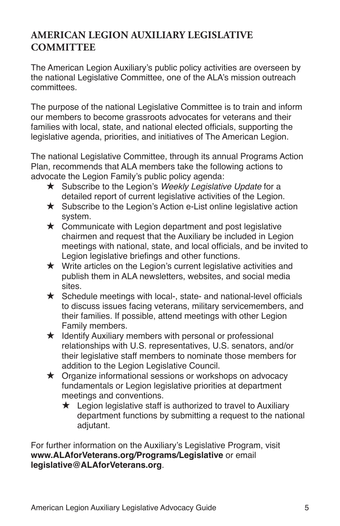## **AMERICAN LEGION AUXILIARY LEGISLATIVE COMMITTEE**

The American Legion Auxiliary's public policy activities are overseen by the national Legislative Committee, one of the ALA's mission outreach committees.

The purpose of the national Legislative Committee is to train and inform our members to become grassroots advocates for veterans and their families with local, state, and national elected officials, supporting the legislative agenda, priorities, and initiatives of The American Legion.

The national Legislative Committee, through its annual Programs Action Plan, recommends that ALA members take the following actions to advocate the Legion Family's public policy agenda:

- ★ Subscribe to the Legion's Weekly Legislative Update for a detailed report of current legislative activities of the Legion.
- $\star$  Subscribe to the Legion's Action e-List online legislative action system.
- $\star$  Communicate with Legion department and post legislative chairmen and request that the Auxiliary be included in Legion meetings with national, state, and local officials, and be invited to Legion legislative briefings and other functions.
- $\star$  Write articles on the Legion's current legislative activities and publish them in ALA newsletters, websites, and social media sites.
- $\star$  Schedule meetings with local-, state- and national-level officials to discuss issues facing veterans, military servicemembers, and their families. If possible, attend meetings with other Legion Family members.
- $\star$  Identify Auxiliary members with personal or professional relationships with U.S. representatives, U.S. senators, and/or their legislative staff members to nominate those members for addition to the Legion Legislative Council.
- $\star$  Organize informational sessions or workshops on advocacy fundamentals or Legion legislative priorities at department meetings and conventions.
	- $\star$  Legion legislative staff is authorized to travel to Auxiliary department functions by submitting a request to the national adjutant.

For further information on the Auxiliary's Legislative Program, visit **[www.ALAforVeterans.org/Programs/Legislative](http://www.ALAforVeterans.org/Programs/Legislative)** or email **legislative@ALAforVeterans.org**.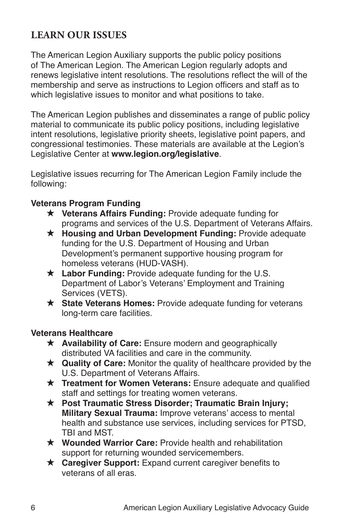## **LEARN OUR ISSUES**

The American Legion Auxiliary supports the public policy positions of The American Legion. The American Legion regularly adopts and renews legislative intent resolutions. The resolutions reflect the will of the membership and serve as instructions to Legion officers and staff as to which legislative issues to monitor and what positions to take.

The American Legion publishes and disseminates a range of public policy material to communicate its public policy positions, including legislative intent resolutions, legislative priority sheets, legislative point papers, and congressional testimonies. These materials are available at the Legion's Legislative Center at **[www.legion.org/legislative](http://www.legion.org/legislative)**.

Legislative issues recurring for The American Legion Family include the following:

## **Veterans Program Funding**

- **★ Veterans Affairs Funding: Provide adequate funding for** programs and services of the U.S. Department of Veterans Affairs.
- **★ Housing and Urban Development Funding: Provide adequate** funding for the U.S. Department of Housing and Urban Development's permanent supportive housing program for homeless veterans (HUD-VASH).
- ★ Labor Funding: Provide adequate funding for the U.S. Department of Labor's Veterans' Employment and Training Services (VETS).
- **★ State Veterans Homes:** Provide adequate funding for veterans long-term care facilities.

### **Veterans Healthcare**

- **★ Availability of Care:** Ensure modern and geographically distributed VA facilities and care in the community.
- **★ Quality of Care:** Monitor the quality of healthcare provided by the U.S. Department of Veterans Affairs.
- $\star$  **Treatment for Women Veterans:** Ensure adequate and qualified staff and settings for treating women veterans.
- **★ Post Traumatic Stress Disorder; Traumatic Brain Injury; Military Sexual Trauma:** Improve veterans' access to mental health and substance use services, including services for PTSD, TBI and MST.
- **★ Wounded Warrior Care:** Provide health and rehabilitation support for returning wounded servicemembers.
- **★ Caregiver Support:** Expand current caregiver benefits to veterans of all eras.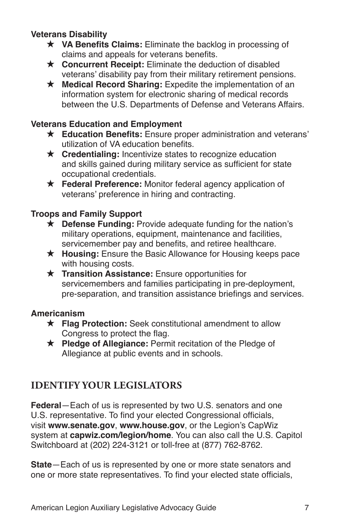## **Veterans Disability**

- **★ VA Benefits Claims:** Eliminate the backlog in processing of claims and appeals for veterans benefits.
- **★ Concurrent Receipt:** Eliminate the deduction of disabled veterans' disability pay from their military retirement pensions.
- ★ Medical Record Sharing: Expedite the implementation of an information system for electronic sharing of medical records between the U.S. Departments of Defense and Veterans Affairs.

#### **Veterans Education and Employment**

- **★ Education Benefits:** Ensure proper administration and veterans' utilization of VA education benefits.
- **★ Credentialing:** Incentivize states to recognize education and skills gained during military service as sufficient for state occupational credentials.
- **★ Federal Preference:** Monitor federal agency application of veterans' preference in hiring and contracting.

### **Troops and Family Support**

- **★ Defense Funding:** Provide adequate funding for the nation's military operations, equipment, maintenance and facilities, servicemember pay and benefits, and retiree healthcare.
- **★ Housing:** Ensure the Basic Allowance for Housing keeps pace with housing costs.
- **★ Transition Assistance:** Ensure opportunities for servicemembers and families participating in pre-deployment, pre-separation, and transition assistance briefings and services.

### **Americanism**

- **★ Flag Protection:** Seek constitutional amendment to allow Congress to protect the flag.
- ★ Pledge of Allegiance: Permit recitation of the Pledge of Allegiance at public events and in schools.

## **IDENTIFY YOUR LEGISLATORS**

**Federal**—Each of us is represented by two U.S. senators and one U.S. representative. To find your elected Congressional officials, visit **www.senate.gov**, **www.house.gov**, or the Legion's CapWiz system at **capwiz.com/legion/home**. You can also call the U.S. Capitol Switchboard at (202) 224-3121 or toll-free at (877) 762-8762.

**State**—Each of us is represented by one or more state senators and one or more state representatives. To find your elected state officials,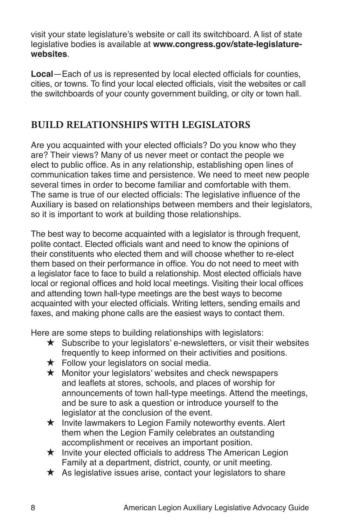visit your state legislature's website or call its switchboard. A list of state legislative bodies is available at **www.congress.gov/state-legislaturewebsites**.

**Local**—Each of us is represented by local elected officials for counties, cities, or towns. To find your local elected officials, visit the websites or call the switchboards of your county government building, or city or town hall.

## **BUILD RELATIONSHIPS WITH LEGISLATORS**

Are you acquainted with your elected officials? Do you know who they are? Their views? Many of us never meet or contact the people we elect to public office. As in any relationship, establishing open lines of communication takes time and persistence. We need to meet new people several times in order to become familiar and comfortable with them. The same is true of our elected officials: The legislative influence of the Auxiliary is based on relationships between members and their legislators, so it is important to work at building those relationships.

The best way to become acquainted with a legislator is through frequent, polite contact. Elected officials want and need to know the opinions of their constituents who elected them and will choose whether to re-elect them based on their performance in office. You do not need to meet with a legislator face to face to build a relationship. Most elected officials have local or regional offices and hold local meetings. Visiting their local offices and attending town hall-type meetings are the best ways to become acquainted with your elected officials. Writing letters, sending emails and faxes, and making phone calls are the easiest ways to contact them.

Here are some steps to building relationships with legislators:

- $\star$  Subscribe to your legislators' e-newsletters, or visit their websites frequently to keep informed on their activities and positions.
- $\star$  Follow your legislators on social media.
- $\star$  Monitor your legislators' websites and check newspapers and leaflets at stores, schools, and places of worship for announcements of town hall-type meetings. Attend the meetings, and be sure to ask a question or introduce yourself to the legislator at the conclusion of the event.
- $\star$  Invite lawmakers to Legion Family noteworthy events. Alert them when the Legion Family celebrates an outstanding accomplishment or receives an important position.
- $\star$  Invite your elected officials to address The American Legion Family at a department, district, county, or unit meeting.
- $\star$  As legislative issues arise, contact your legislators to share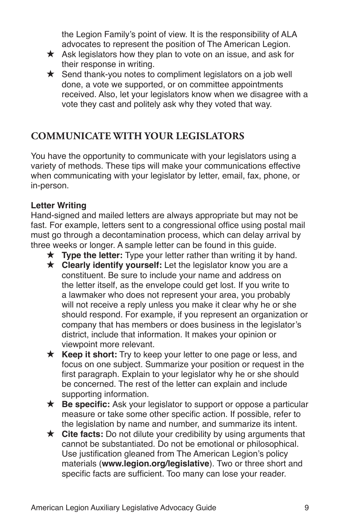the Legion Family's point of view. It is the responsibility of ALA advocates to represent the position of The American Legion.

- $\star$  Ask legislators how they plan to vote on an issue, and ask for their response in writing.
- $\star$  Send thank-you notes to compliment legislators on a job well done, a vote we supported, or on committee appointments received. Also, let your legislators know when we disagree with a vote they cast and politely ask why they voted that way.

## **COMMUNICATE WITH YOUR LEGISLATORS**

You have the opportunity to communicate with your legislators using a variety of methods. These tips will make your communications effective when communicating with your legislator by letter, email, fax, phone, or in-person.

## **Letter Writing**

Hand-signed and mailed letters are always appropriate but may not be fast. For example, letters sent to a congressional office using postal mail must go through a decontamination process, which can delay arrival by three weeks or longer. A sample letter can be found in this guide.

- $\star$  **Type the letter:** Type your letter rather than writing it by hand.
- **★ Clearly identify yourself:** Let the legislator know you are a constituent. Be sure to include your name and address on the letter itself, as the envelope could get lost. If you write to a lawmaker who does not represent your area, you probably will not receive a reply unless you make it clear why he or she should respond. For example, if you represent an organization or company that has members or does business in the legislator's district, include that information. It makes your opinion or viewpoint more relevant.
- $\star$  **Keep it short:** Try to keep your letter to one page or less, and focus on one subject. Summarize your position or request in the first paragraph. Explain to your legislator why he or she should be concerned. The rest of the letter can explain and include supporting information.
- **★ Be specific:** Ask your legislator to support or oppose a particular measure or take some other specific action. If possible, refer to the legislation by name and number, and summarize its intent.
- $\star$  **Cite facts:** Do not dilute your credibility by using arguments that cannot be substantiated. Do not be emotional or philosophical. Use justification gleaned from The American Legion's policy materials (**www.legion.org/legislative**). Two or three short and specific facts are sufficient. Too many can lose your reader.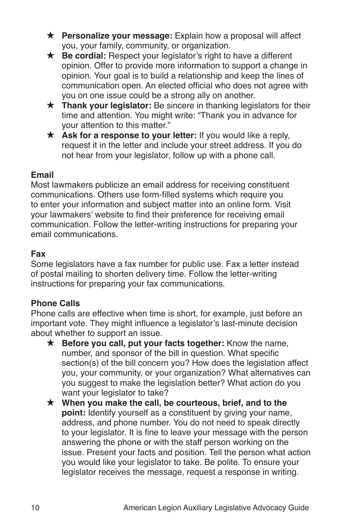- **★ Personalize your message:** Explain how a proposal will affect you, your family, community, or organization.
- **★ Be cordial:** Respect your legislator's right to have a different opinion. Offer to provide more information to support a change in opinion. Your goal is to build a relationship and keep the lines of communication open. An elected official who does not agree with you on one issue could be a strong ally on another.
- **★ Thank your legislator:** Be sincere in thanking legislators for their time and attention. You might write: "Thank you in advance for your attention to this matter."
- **★ Ask for a response to your letter:** If you would like a reply, request it in the letter and include your street address. If you do not hear from your legislator, follow up with a phone call.

## **Email**

Most lawmakers publicize an email address for receiving constituent communications. Others use form-filled systems which require you to enter your information and subject matter into an online form. Visit your lawmakers' website to find their preference for receiving email communication. Follow the letter-writing instructions for preparing your email communications.

## **Fax**

Some legislators have a fax number for public use. Fax a letter instead of postal mailing to shorten delivery time. Follow the letter-writing instructions for preparing your fax communications.

## **Phone Calls**

Phone calls are effective when time is short, for example, just before an important vote. They might influence a legislator's last-minute decision about whether to support an issue.

- **★ Before you call, put your facts together:** Know the name, number, and sponsor of the bill in question. What specific section(s) of the bill concern you? How does the legislation affect you, your community, or your organization? What alternatives can you suggest to make the legislation better? What action do you want your legislator to take?
- **★** When you make the call, be courteous, brief, and to the **point:** Identify yourself as a constituent by giving your name, address, and phone number. You do not need to speak directly to your legislator. It is fine to leave your message with the person answering the phone or with the staff person working on the issue. Present your facts and position. Tell the person what action you would like your legislator to take. Be polite. To ensure your legislator receives the message, request a response in writing.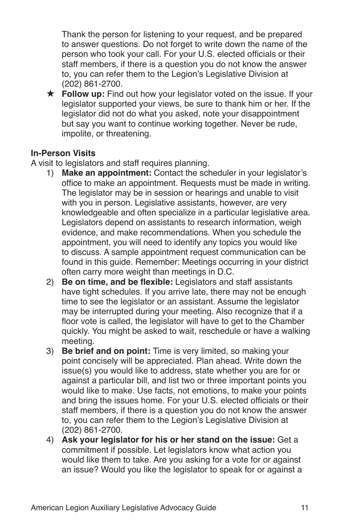Thank the person for listening to your request, and be prepared to answer questions. Do not forget to write down the name of the person who took your call. For your U.S. elected officials or their staff members, if there is a question you do not know the answer to, you can refer them to the Legion's Legislative Division at (202) 861-2700.

**★ Follow up:** Find out how your legislator voted on the issue. If your legislator supported your views, be sure to thank him or her. If the legislator did not do what you asked, note your disappointment but say you want to continue working together. Never be rude, impolite, or threatening.

## **In-Person Visits**

A visit to legislators and staff requires planning.

- 1) **Make an appointment:** Contact the scheduler in your legislator's office to make an appointment. Requests must be made in writing. The legislator may be in session or hearings and unable to visit with you in person. Legislative assistants, however, are very knowledgeable and often specialize in a particular legislative area. Legislators depend on assistants to research information, weigh evidence, and make recommendations. When you schedule the appointment, you will need to identify any topics you would like to discuss. A sample appointment request communication can be found in this guide. Remember: Meetings occurring in your district often carry more weight than meetings in D.C.
- 2) **Be on time, and be flexible:** Legislators and staff assistants have tight schedules. If you arrive late, there may not be enough time to see the legislator or an assistant. Assume the legislator may be interrupted during your meeting. Also recognize that if a floor vote is called, the legislator will have to get to the Chamber quickly. You might be asked to wait, reschedule or have a walking meeting.
- 3) **Be brief and on point:** Time is very limited, so making your point concisely will be appreciated. Plan ahead. Write down the issue(s) you would like to address, state whether you are for or against a particular bill, and list two or three important points you would like to make. Use facts, not emotions, to make your points and bring the issues home. For your U.S. elected officials or their staff members, if there is a question you do not know the answer to, you can refer them to the Legion's Legislative Division at (202) 861-2700.
- 4) **Ask your legislator for his or her stand on the issue:** Get a commitment if possible. Let legislators know what action you would like them to take. Are you asking for a vote for or against an issue? Would you like the legislator to speak for or against a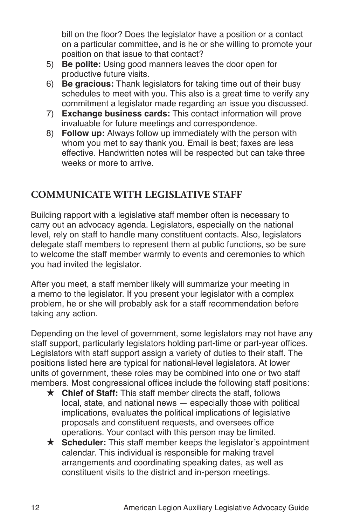bill on the floor? Does the legislator have a position or a contact on a particular committee, and is he or she willing to promote your position on that issue to that contact?

- 5) **Be polite:** Using good manners leaves the door open for productive future visits.
- 6) **Be gracious:** Thank legislators for taking time out of their busy schedules to meet with you. This also is a great time to verify any commitment a legislator made regarding an issue you discussed.
- 7) **Exchange business cards:** This contact information will prove invaluable for future meetings and correspondence.
- 8) **Follow up:** Always follow up immediately with the person with whom you met to say thank you. Email is best; faxes are less effective. Handwritten notes will be respected but can take three weeks or more to arrive.

## **COMMUNICATE WITH LEGISLATIVE STAFF**

Building rapport with a legislative staff member often is necessary to carry out an advocacy agenda. Legislators, especially on the national level, rely on staff to handle many constituent contacts. Also, legislators delegate staff members to represent them at public functions, so be sure to welcome the staff member warmly to events and ceremonies to which you had invited the legislator.

After you meet, a staff member likely will summarize your meeting in a memo to the legislator. If you present your legislator with a complex problem, he or she will probably ask for a staff recommendation before taking any action.

Depending on the level of government, some legislators may not have any staff support, particularly legislators holding part-time or part-year offices. Legislators with staff support assign a variety of duties to their staff. The positions listed here are typical for national-level legislators. At lower units of government, these roles may be combined into one or two staff members. Most congressional offices include the following staff positions:

- **★ Chief of Staff:** This staff member directs the staff, follows local, state, and national news — especially those with political implications, evaluates the political implications of legislative proposals and constituent requests, and oversees office operations. Your contact with this person may be limited.
- **★ Scheduler:** This staff member keeps the legislator's appointment calendar. This individual is responsible for making travel arrangements and coordinating speaking dates, as well as constituent visits to the district and in-person meetings.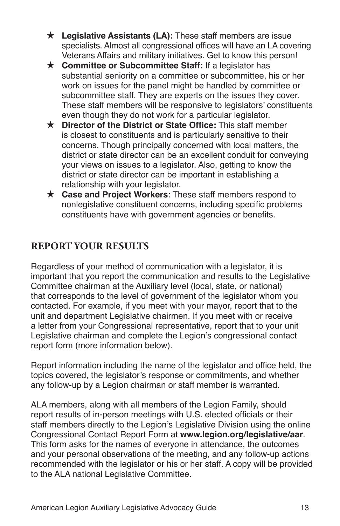- **★ Legislative Assistants (LA):** These staff members are issue specialists. Almost all congressional offices will have an LA covering Veterans Affairs and military initiatives. Get to know this person!
- **★ Committee or Subcommittee Staff: If a legislator has** substantial seniority on a committee or subcommittee, his or her work on issues for the panel might be handled by committee or subcommittee staff. They are experts on the issues they cover. These staff members will be responsive to legislators' constituents even though they do not work for a particular legislator.
- **★ Director of the District or State Office:** This staff member is closest to constituents and is particularly sensitive to their concerns. Though principally concerned with local matters, the district or state director can be an excellent conduit for conveying your views on issues to a legislator. Also, getting to know the district or state director can be important in establishing a relationship with your legislator.
- **★ Case and Project Workers:** These staff members respond to nonlegislative constituent concerns, including specific problems constituents have with government agencies or benefits.

## **REPORT YOUR RESULTS**

Regardless of your method of communication with a legislator, it is important that you report the communication and results to the Legislative Committee chairman at the Auxiliary level (local, state, or national) that corresponds to the level of government of the legislator whom you contacted. For example, if you meet with your mayor, report that to the unit and department Legislative chairmen. If you meet with or receive a letter from your Congressional representative, report that to your unit Legislative chairman and complete the Legion's congressional contact report form (more information below).

Report information including the name of the legislator and office held, the topics covered, the legislator's response or commitments, and whether any follow-up by a Legion chairman or staff member is warranted.

ALA members, along with all members of the Legion Family, should report results of in-person meetings with U.S. elected officials or their staff members directly to the Legion's Legislative Division using the online Congressional Contact Report Form at **[www.legion.org/legislative/aar](http://www.legion.org/legislative/aar)**. This form asks for the names of everyone in attendance, the outcomes and your personal observations of the meeting, and any follow-up actions recommended with the legislator or his or her staff. A copy will be provided to the ALA national Legislative Committee.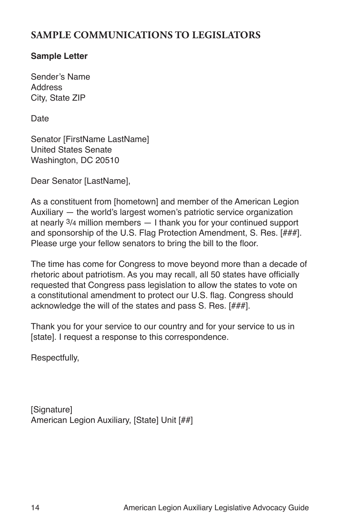## **SAMPLE COMMUNICATIONS TO LEGISLATORS**

## **Sample Letter**

Sender's Name **Address** City, State ZIP

Date

Senator [FirstName LastName] United States Senate Washington, DC 20510

Dear Senator [LastName],

As a constituent from [hometown] and member of the American Legion Auxiliary — the world's largest women's patriotic service organization at nearly 3/4 million members — I thank you for your continued support and sponsorship of the U.S. Flag Protection Amendment, S. Res. [###]. Please urge your fellow senators to bring the bill to the floor.

The time has come for Congress to move beyond more than a decade of rhetoric about patriotism. As you may recall, all 50 states have officially requested that Congress pass legislation to allow the states to vote on a constitutional amendment to protect our U.S. flag. Congress should acknowledge the will of the states and pass S. Res. [###].

Thank you for your service to our country and for your service to us in [state]. I request a response to this correspondence.

Respectfully,

[Signature] American Legion Auxiliary, [State] Unit [##]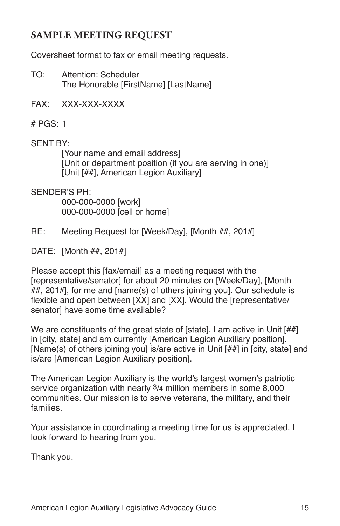## **SAMPLE MEETING REQUEST**

Coversheet format to fax or email meeting requests.

- TO: Attention: Scheduler The Honorable [FirstName] [LastName]
- FAX: XXX-XXX-XXXX
- # PGS: 1

### SENT BY:

[Your name and email address] [Unit or department position (if you are serving in one)] [Unit [##], American Legion Auxiliary]

SENDER'S PH:

000-000-0000 [work] 000-000-0000 [cell or home]

- RE: Meeting Request for [Week/Day], [Month ##, 201#]
- DATE: [Month ##, 201#]

Please accept this [fax/email] as a meeting request with the [representative/senator] for about 20 minutes on [Week/Day], [Month ##, 201#], for me and [name(s) of others joining you]. Our schedule is flexible and open between [XX] and [XX]. Would the [representative/ senator1 have some time available?

We are constituents of the great state of [state]. I am active in Unit [##] in [city, state] and am currently [American Legion Auxiliary position]. [Name(s) of others joining you] is/are active in Unit [##] in [city, state] and is/are [American Legion Auxiliary position].

The American Legion Auxiliary is the world's largest women's patriotic service organization with nearly 3/4 million members in some 8,000 communities. Our mission is to serve veterans, the military, and their families.

Your assistance in coordinating a meeting time for us is appreciated. I look forward to hearing from you.

Thank you.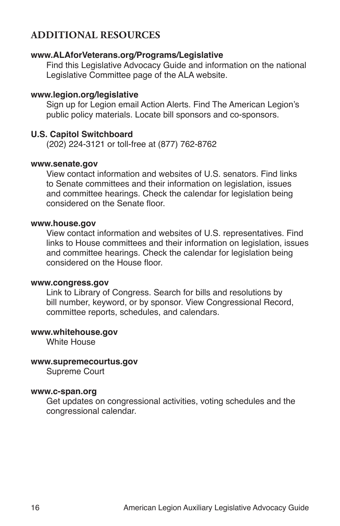## **ADDITIONAL RESOURCES**

#### **[www.ALAforVeterans.org](http://www.ALAforVeterans.org)/Programs/Legislative**

 Find this Legislative Advocacy Guide and information on the national Legislative Committee page of the ALA website.

#### **[www.legion.org](http://www.legion.org)/legislative**

Sign up for Legion email Action Alerts. Find The American Legion's public policy materials. Locate bill sponsors and co-sponsors.

#### **U.S. Capitol Switchboard**

(202) 224-3121 or toll-free at (877) 762-8762

#### **[www.senate.gov](http://www.senate.gov/)**

View contact information and websites of U.S. senators. Find links to Senate committees and their information on legislation, issues and committee hearings. Check the calendar for legislation being considered on the Senate floor.

#### **[www.house.gov](http://www.house.gov)**

View contact information and websites of U.S. representatives. Find links to House committees and their information on legislation, issues and committee hearings. Check the calendar for legislation being considered on the House floor.

#### **www.congres[s.gov](http://thomas.loc.gov/)**

Link to Library of Congress. Search for bills and resolutions by bill number, keyword, or by sponsor. View Congressional Record, committee reports, schedules, and calendars.

#### **[www.whitehouse.gov](http://www.whitehouse.gov)**

White House

#### **www.supremecourtus.gov**

Supreme Court

#### **[www.c-span.org](http://www.c-span.org)**

Get updates on congressional activities, voting schedules and the congressional calendar.